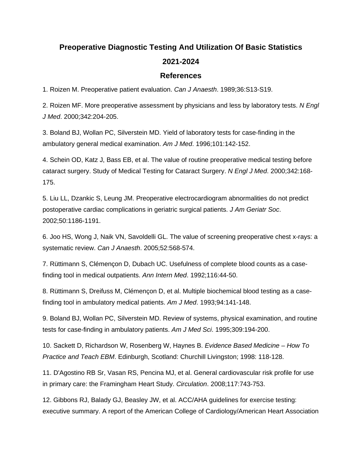## **Preoperative Diagnostic Testing And Utilization Of Basic Statistics 2021-2024**

## **References**

1. Roizen M. Preoperative patient evaluation. *Can J Anaesth*. 1989;36:S13-S19.

2. Roizen MF. More preoperative assessment by physicians and less by laboratory tests. *N Engl J Med*. 2000;342:204-205.

3. Boland BJ, Wollan PC, Silverstein MD. Yield of laboratory tests for case-finding in the ambulatory general medical examination. *Am J Med*. 1996;101:142-152.

4. Schein OD, Katz J, Bass EB, et al. The value of routine preoperative medical testing before cataract surgery. Study of Medical Testing for Cataract Surgery. *N Engl J Med*. 2000;342:168- 175.

5. Liu LL, Dzankic S, Leung JM. Preoperative electrocardiogram abnormalities do not predict postoperative cardiac complications in geriatric surgical patients. *J Am Geriatr Soc*. 2002;50:1186-1191.

6. Joo HS, Wong J, Naik VN, Savoldelli GL. The value of screening preoperative chest x-rays: a systematic review. *Can J Anaesth*. 2005;52:568-574.

7. Rüttimann S, Clémençon D, Dubach UC. Usefulness of complete blood counts as a casefinding tool in medical outpatients. *Ann Intern Med*. 1992;116:44-50.

8. Rüttimann S, Dreifuss M, Clémençon D, et al. Multiple biochemical blood testing as a casefinding tool in ambulatory medical patients. *Am J Med*. 1993;94:141-148.

9. Boland BJ, Wollan PC, Silverstein MD. Review of systems, physical examination, and routine tests for case-finding in ambulatory patients. *Am J Med Sci*. 1995;309:194-200.

10. Sackett D, Richardson W, Rosenberg W, Haynes B. *Evidence Based Medicine – How To Practice and Teach EBM*. Edinburgh, Scotland: Churchill Livingston; 1998: 118-128.

11. D'Agostino RB Sr, Vasan RS, Pencina MJ, et al. General cardiovascular risk profile for use in primary care: the Framingham Heart Study. *Circulation*. 2008;117:743-753.

12. Gibbons RJ, Balady GJ, Beasley JW, et al. ACC/AHA guidelines for exercise testing: executive summary. A report of the American College of Cardiology/American Heart Association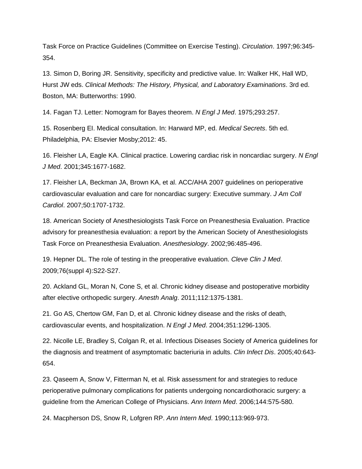Task Force on Practice Guidelines (Committee on Exercise Testing). *Circulation*. 1997;96:345- 354.

13. Simon D, Boring JR. Sensitivity, specificity and predictive value. In: Walker HK, Hall WD, Hurst JW eds. *Clinical Methods: The History, Physical, and Laboratory Examinations*. 3rd ed. Boston, MA: Butterworths: 1990.

14. Fagan TJ. Letter: Nomogram for Bayes theorem. *N Engl J Med*. 1975;293:257.

15. Rosenberg EI. Medical consultation. In: Harward MP, ed. *Medical Secrets*. 5th ed. Philadelphia, PA: Elsevier Mosby;2012: 45.

16. Fleisher LA, Eagle KA. Clinical practice. Lowering cardiac risk in noncardiac surgery. *N Engl J Med*. 2001;345:1677-1682.

17. Fleisher LA, Beckman JA, Brown KA, et al. ACC/AHA 2007 guidelines on perioperative cardiovascular evaluation and care for noncardiac surgery: Executive summary. *J Am Coll Cardiol*. 2007;50:1707-1732.

18. American Society of Anesthesiologists Task Force on Preanesthesia Evaluation. Practice advisory for preanesthesia evaluation: a report by the American Society of Anesthesiologists Task Force on Preanesthesia Evaluation. *Anesthesiology*. 2002;96:485-496.

19. Hepner DL. The role of testing in the preoperative evaluation. *Cleve Clin J Med*. 2009;76(suppl 4):S22-S27.

20. Ackland GL, Moran N, Cone S, et al. Chronic kidney disease and postoperative morbidity after elective orthopedic surgery. *Anesth Analg*. 2011;112:1375-1381.

21. Go AS, Chertow GM, Fan D, et al. Chronic kidney disease and the risks of death, cardiovascular events, and hospitalization. *N Engl J Med*. 2004;351:1296-1305.

22. Nicolle LE, Bradley S, Colgan R, et al. Infectious Diseases Society of America guidelines for the diagnosis and treatment of asymptomatic bacteriuria in adults. *Clin Infect Dis*. 2005;40:643- 654.

23. Qaseem A, Snow V, Fitterman N, et al. Risk assessment for and strategies to reduce perioperative pulmonary complications for patients undergoing noncardiothoracic surgery: a guideline from the American College of Physicians. *Ann Intern Med*. 2006;144:575-580.

24. Macpherson DS, Snow R, Lofgren RP. *Ann Intern Med*. 1990;113:969-973.